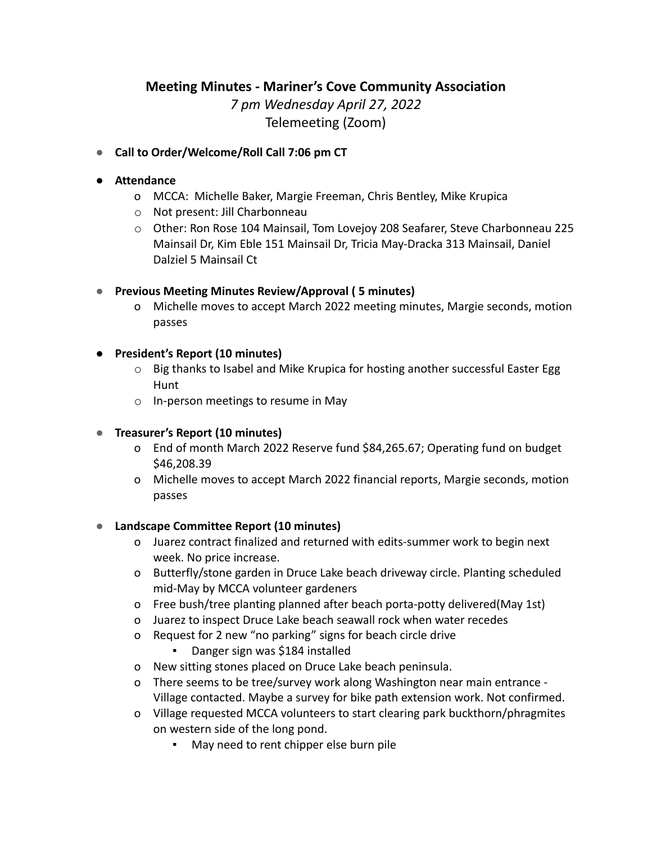# **Meeting Minutes - Mariner's Cove Community Association**

*7 pm Wednesday April 27, 2022* Telemeeting (Zoom)

**● Call to Order/Welcome/Roll Call 7:06 pm CT**

### **● Attendance**

- o MCCA: Michelle Baker, Margie Freeman, Chris Bentley, Mike Krupica
- o Not present: Jill Charbonneau
- o Other: Ron Rose 104 Mainsail, Tom Lovejoy 208 Seafarer, Steve Charbonneau 225 Mainsail Dr, Kim Eble 151 Mainsail Dr, Tricia May-Dracka 313 Mainsail, Daniel Dalziel 5 Mainsail Ct

## **● Previous Meeting Minutes Review/Approval ( 5 minutes)**

o Michelle moves to accept March 2022 meeting minutes, Margie seconds, motion passes

## **● President's Report (10 minutes)**

- o Big thanks to Isabel and Mike Krupica for hosting another successful Easter Egg Hunt
- o In-person meetings to resume in May

# **● Treasurer's Report (10 minutes)**

- o End of month March 2022 Reserve fund \$84,265.67; Operating fund on budget \$46,208.39
- o Michelle moves to accept March 2022 financial reports, Margie seconds, motion passes

### **● Landscape Committee Report (10 minutes)**

- o Juarez contract finalized and returned with edits-summer work to begin next week. No price increase.
- o Butterfly/stone garden in Druce Lake beach driveway circle. Planting scheduled mid-May by MCCA volunteer gardeners
- o Free bush/tree planting planned after beach porta-potty delivered(May 1st)
- o Juarez to inspect Druce Lake beach seawall rock when water recedes
- o Request for 2 new "no parking" signs for beach circle drive
	- Danger sign was \$184 installed
- o New sitting stones placed on Druce Lake beach peninsula.
- o There seems to be tree/survey work along Washington near main entrance Village contacted. Maybe a survey for bike path extension work. Not confirmed.
- o Village requested MCCA volunteers to start clearing park buckthorn/phragmites on western side of the long pond.
	- May need to rent chipper else burn pile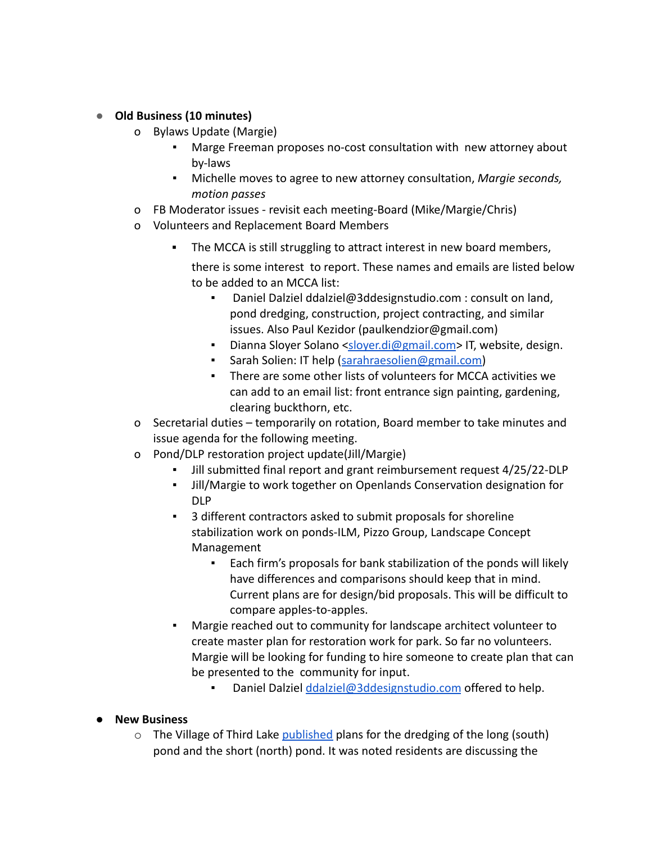### **● Old Business (10 minutes)**

- o Bylaws Update (Margie)
	- Marge Freeman proposes no-cost consultation with new attorney about by-laws
	- Michelle moves to agree to new attorney consultation, *Margie seconds*, *motion passes*
- o FB Moderator issues revisit each meeting-Board (Mike/Margie/Chris)
- o Volunteers and Replacement Board Members
	- The MCCA is still struggling to attract interest in new board members,

there is some interest to report. These names and emails are listed below to be added to an MCCA list:

- Daniel Dalziel ddalziel@3ddesignstudio.com : consult on land, pond dredging, construction, project contracting, and similar issues. Also Paul Kezidor (paulkendzior@gmail.com)
- **E** Dianna Sloyer Solano [<sloyer.di@gmail.com](mailto:sloyer.di@gmail.com)> IT, website, design.
- **EXECT:** Sarah Solien: IT help ([sarahraesolien@gmail.com\)](mailto:sarahraesolien@gmail.com)
- There are some other lists of volunteers for MCCA activities we can add to an email list: front entrance sign painting, gardening, clearing buckthorn, etc.
- o Secretarial duties temporarily on rotation, Board member to take minutes and issue agenda for the following meeting.
- o Pond/DLP restoration project update(Jill/Margie)
	- Jill submitted final report and grant reimbursement request 4/25/22-DLP
	- Jill/Margie to work together on Openlands Conservation designation for DLP
	- 3 different contractors asked to submit proposals for shoreline stabilization work on ponds-ILM, Pizzo Group, Landscape Concept Management
		- Each firm's proposals for bank stabilization of the ponds will likely have differences and comparisons should keep that in mind. Current plans are for design/bid proposals. This will be difficult to compare apples-to-apples.
	- Margie reached out to community for landscape architect volunteer to create master plan for restoration work for park. So far no volunteers. Margie will be looking for funding to hire someone to create plan that can be presented to the community for input.
		- Daniel Dalziel [ddalziel@3ddesignstudio.com](mailto:ddalziel@3ddesignstudio.com) offered to help.

### **● New Business**

 $\circ$  The Village of Third Lake [published](https://www.thirdlakevillage.com/) plans for the dredging of the long (south) pond and the short (north) pond. It was noted residents are discussing the